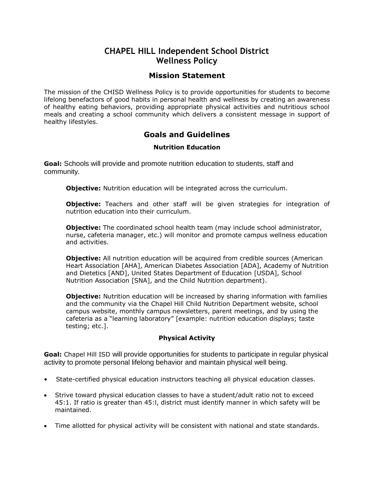# **CHAPEL HILL Independent School District Wellness Policy**

## **Mission Statement**

The mission of the CHISD Wellness Policy is to provide opportunities for students to become lifelong benefactors of good habits in personal health and wellness by creating an awareness of healthy eating behaviors, providing appropriate physical activities and nutritious school meals and creating a school community which delivers a consistent message in support of healthy lifestyles.

## **Goals and Guidelines**

### **Nutrition Education**

**Goal:** Schools will provide and promote nutrition education to students, staff and community.

**Objective:** Nutrition education will be integrated across the curriculum.

**Objective:** Teachers and other staff will be given strategies for integration of nutrition education into their curriculum.

**Objective:** The coordinated school health team (may include school administrator, nurse, cafeteria manager, etc.) will monitor and promote campus wellness education and activities.

**Objective:** All nutrition education will be acquired from credible sources (American Heart Association [AHA], American Diabetes Association [ADA], Academy of Nutrition and Dietetics [AND], United States Department of Education [USDA], School Nutrition Association [SNA], and the Child Nutrition department).

**Objective:** Nutrition education will be increased by sharing information with families and the community via the Chapel Hill Child Nutrition Department website, school campus website, monthly campus newsletters, parent meetings, and by using the cafeteria as a "learning laboratory" [example: nutrition education displays; taste testing; etc.].

### **Physical Activity**

**Goal:** Chapel Hill ISD will provide opportunities for students to participate in regular physical activity to promote personal lifelong behavior and maintain physical well being.

- State-certified physical education instructors teaching all physical education classes.
- Strive toward physical education classes to have a student/adult ratio not to exceed 45:1. If ratio is greater than 45:l, district must identify manner in which safety will be maintained.
- Time allotted for physical activity will be consistent with national and state standards.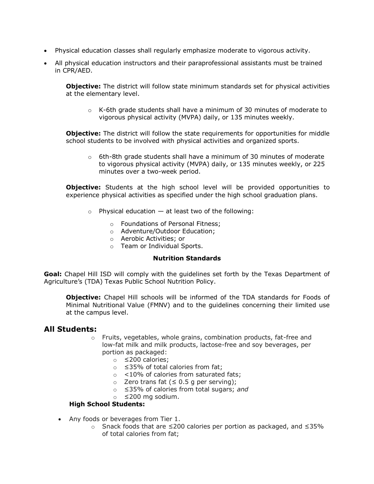- Physical education classes shall regularly emphasize moderate to vigorous activity.
- All physical education instructors and their paraprofessional assistants must be trained in CPR/AED.

**Objective:** The district will follow state minimum standards set for physical activities at the elementary level.

 $\circ$  K-6th grade students shall have a minimum of 30 minutes of moderate to vigorous physical activity (MVPA) daily, or 135 minutes weekly.

**Objective:** The district will follow the state requirements for opportunities for middle school students to be involved with physical activities and organized sports.

 $\circ$  6th-8th grade students shall have a minimum of 30 minutes of moderate to vigorous physical activity (MVPA) daily, or 135 minutes weekly, or 225 minutes over a two-week period.

**Objective:** Students at the high school level will be provided opportunities to experience physical activities as specified under the high school graduation plans.

- $\circ$  Physical education  $-$  at least two of the following:
	- o Foundations of Personal Fitness;
	- o Adventure/Outdoor Education;
	- o Aerobic Activities; or
	- o Team or Individual Sports.

#### **Nutrition Standards**

**Goal:** Chapel Hill ISD will comply with the guidelines set forth by the Texas Department of Agriculture's (TDA) Texas Public School Nutrition Policy.

**Objective:** Chapel Hill schools will be informed of the TDA standards for Foods of Minimal Nutritional Value (FMNV) and to the guidelines concerning their limited use at the campus level.

### **All Students:**

- $\circ$  Fruits, vegetables, whole grains, combination products, fat-free and low-fat milk and milk products, lactose-free and soy beverages, per portion as packaged:
	- o ≤200 calories;
	- o ≤35% of total calories from fat;
	- o <10% of calories from saturated fats;
	- o Zero trans fat (≤ 0.5 g per serving);
	- o ≤35% of calories from total sugars; *and*
	- o ≤200 mg sodium.

### **High School Students:**

- Any foods or beverages from Tier 1.
	- o Snack foods that are ≤200 calories per portion as packaged, and ≤35% of total calories from fat;